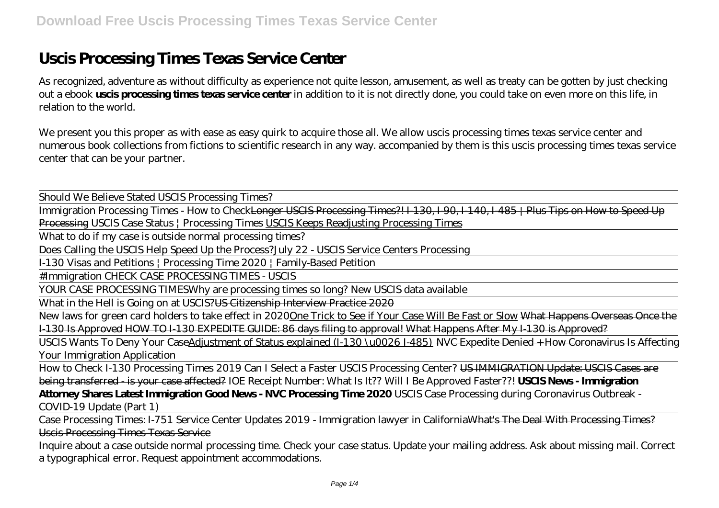# **Uscis Processing Times Texas Service Center**

As recognized, adventure as without difficulty as experience not quite lesson, amusement, as well as treaty can be gotten by just checking out a ebook **uscis processing times texas service center** in addition to it is not directly done, you could take on even more on this life, in relation to the world.

We present you this proper as with ease as easy quirk to acquire those all. We allow uscis processing times texas service center and numerous book collections from fictions to scientific research in any way. accompanied by them is this uscis processing times texas service center that can be your partner.

Should We Believe Stated USCIS Processing Times?

Immigration Processing Times - How to CheckLonger USCIS Processing Times?! I 130, I-90, I-140, I-485 | Plus Tips on How to Speed Up Processing USCIS Case Status | Processing Times USCIS Keeps Readjusting Processing Times

What to do if my case is outside normal processing times?

Does Calling the USCIS Help Speed Up the Process?*July 22 - USCIS Service Centers Processing*

I-130 Visas and Petitions | Processing Time 2020 | Family-Based Petition

#Immigration CHECK CASE PROCESSING TIMES - USCIS

YOUR CASE PROCESSING TIMES*Why are processing times so long? New USCIS data available*

What in the Hell is Going on at USCIS?US Citizenship Interview Practice 2020

New laws for green card holders to take effect in 2020One Trick to See if Your Case Will Be Fast or Slow What Happens Overseas Once the I-130 Is Approved HOW TO I-130 EXPEDITE GUIDE: 86 days filing to approval! What Happens After My I-130 is Approved?

USCIS Wants To Deny Your CaseAdjustment of Status explained (I-130 \u0026 I-485) NVC Expedite Denied + How Coronavirus Is Affecting Your Immigration Application

How to Check I-130 Processing Times 2019 Can I Select a Faster USCIS Processing Center? US IMMIGRATION Update: USCIS Cases are being transferred - is your case affected? *IOE Receipt Number: What Is It?? Will I Be Approved Faster??!* **USCIS News - Immigration Attorney Shares Latest Immigration Good News - NVC Processing Time 2020** *USCIS Case Processing during Coronavirus Outbreak - COVID-19 Update (Part 1)*

Case Processing Times: I-751 Service Center Updates 2019 - Immigration lawyer in CaliforniaWhat's The Deal With Processing Times? Uscis Processing Times Texas Service

Inquire about a case outside normal processing time. Check your case status. Update your mailing address. Ask about missing mail. Correct a typographical error. Request appointment accommodations.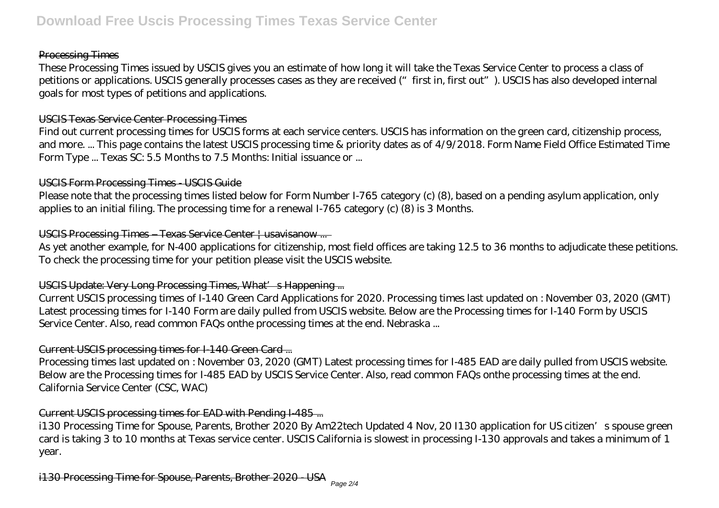# Processing Times

These Processing Times issued by USCIS gives you an estimate of how long it will take the Texas Service Center to process a class of petitions or applications. USCIS generally processes cases as they are received ("first in, first out"). USCIS has also developed internal goals for most types of petitions and applications.

# USCIS Texas Service Center Processing Times

Find out current processing times for USCIS forms at each service centers. USCIS has information on the green card, citizenship process, and more. ... This page contains the latest USCIS processing time & priority dates as of 4/9/2018. Form Name Field Office Estimated Time Form Type ... Texas SC: 5.5 Months to 7.5 Months: Initial issuance or ...

# USCIS Form Processing Times - USCIS Guide

Please note that the processing times listed below for Form Number I-765 category (c) (8), based on a pending asylum application, only applies to an initial filing. The processing time for a renewal I-765 category (c) (8) is 3 Months.

# USCIS Processing Times – Texas Service Center | usavisanow ...

As yet another example, for N-400 applications for citizenship, most field offices are taking 12.5 to 36 months to adjudicate these petitions. To check the processing time for your petition please visit the USCIS website.

# USCIS Update: Very Long Processing Times, What's Happening ...

Current USCIS processing times of I-140 Green Card Applications for 2020. Processing times last updated on : November 03, 2020 (GMT) Latest processing times for I-140 Form are daily pulled from USCIS website. Below are the Processing times for I-140 Form by USCIS Service Center. Also, read common FAQs onthe processing times at the end. Nebraska ...

# Current USCIS processing times for I-140 Green Card ...

Processing times last updated on : November 03, 2020 (GMT) Latest processing times for I-485 EAD are daily pulled from USCIS website. Below are the Processing times for I-485 EAD by USCIS Service Center. Also, read common FAQs onthe processing times at the end. California Service Center (CSC, WAC)

# Current USCIS processing times for EAD with Pending I-485 ...

i130 Processing Time for Spouse, Parents, Brother 2020 By Am22tech Updated 4 Nov, 20 I130 application for US citizen's spouse green card is taking 3 to 10 months at Texas service center. USCIS California is slowest in processing I-130 approvals and takes a minimum of 1 year.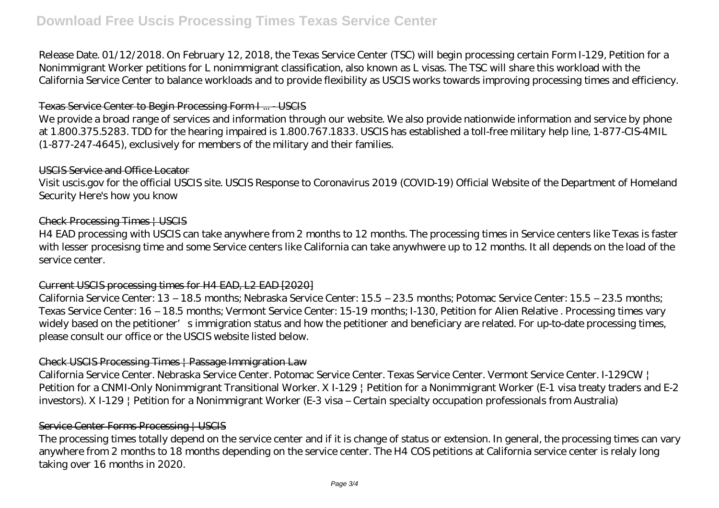Release Date. 01/12/2018. On February 12, 2018, the Texas Service Center (TSC) will begin processing certain Form I-129, Petition for a Nonimmigrant Worker petitions for L nonimmigrant classification, also known as L visas. The TSC will share this workload with the California Service Center to balance workloads and to provide flexibility as USCIS works towards improving processing times and efficiency.

## Texas Service Center to Begin Processing Form I ... - USCIS

We provide a broad range of services and information through our website. We also provide nationwide information and service by phone at 1.800.375.5283. TDD for the hearing impaired is 1.800.767.1833. USCIS has established a toll-free military help line, 1-877-CIS-4MIL (1-877-247-4645), exclusively for members of the military and their families.

#### USCIS Service and Office Locator

Visit uscis.gov for the official USCIS site. USCIS Response to Coronavirus 2019 (COVID-19) Official Website of the Department of Homeland Security Here's how you know

#### Check Processing Times | USCIS

H4 EAD processing with USCIS can take anywhere from 2 months to 12 months. The processing times in Service centers like Texas is faster with lesser procesisng time and some Service centers like California can take anywhwere up to 12 months. It all depends on the load of the service center.

#### Current USCIS processing times for H4 EAD, L2 EAD [2020]

California Service Center: 13 – 18.5 months; Nebraska Service Center: 15.5 – 23.5 months; Potomac Service Center: 15.5 – 23.5 months; Texas Service Center: 16 – 18.5 months; Vermont Service Center: 15-19 months; I-130, Petition for Alien Relative . Processing times vary widely based on the petitioner's immigration status and how the petitioner and beneficiary are related. For up-to-date processing times, please consult our office or the USCIS website listed below.

## Check USCIS Processing Times | Passage Immigration Law

California Service Center. Nebraska Service Center. Potomac Service Center. Texas Service Center. Vermont Service Center. I-129CW | Petition for a CNMI-Only Nonimmigrant Transitional Worker. X I-129 | Petition for a Nonimmigrant Worker (E-1 visa treaty traders and E-2 investors). X I-129 | Petition for a Nonimmigrant Worker (E-3 visa – Certain specialty occupation professionals from Australia)

#### Service Center Forms Processing | USCIS

The processing times totally depend on the service center and if it is change of status or extension. In general, the processing times can vary anywhere from 2 months to 18 months depending on the service center. The H4 COS petitions at California service center is relaly long taking over 16 months in 2020.